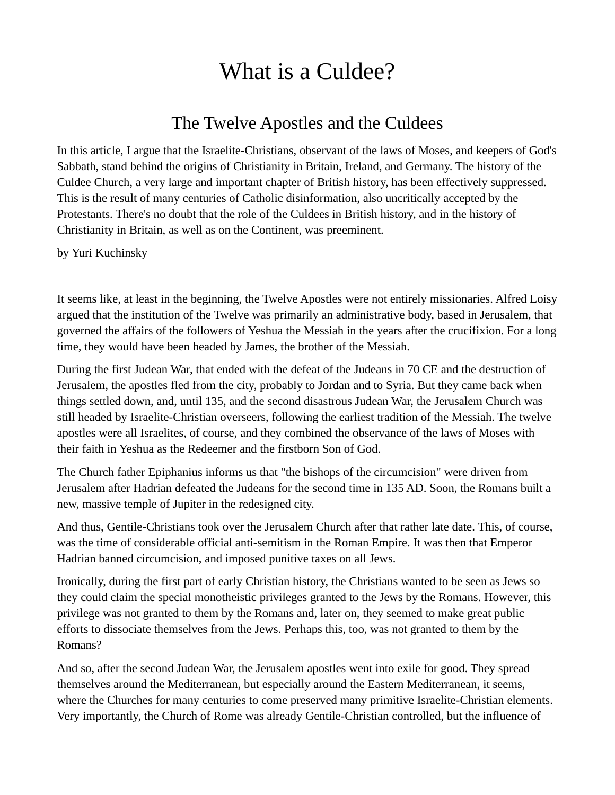# What is a Culdee?

## The Twelve Apostles and the Culdees

In this article, I argue that the Israelite-Christians, observant of the laws of Moses, and keepers of God's Sabbath, stand behind the origins of Christianity in Britain, Ireland, and Germany. The history of the Culdee Church, a very large and important chapter of British history, has been effectively suppressed. This is the result of many centuries of Catholic disinformation, also uncritically accepted by the Protestants. There's no doubt that the role of the Culdees in British history, and in the history of Christianity in Britain, as well as on the Continent, was preeminent.

by Yuri Kuchinsky

It seems like, at least in the beginning, the Twelve Apostles were not entirely missionaries. Alfred Loisy argued that the institution of the Twelve was primarily an administrative body, based in Jerusalem, that governed the affairs of the followers of Yeshua the Messiah in the years after the crucifixion. For a long time, they would have been headed by James, the brother of the Messiah.

During the first Judean War, that ended with the defeat of the Judeans in 70 CE and the destruction of Jerusalem, the apostles fled from the city, probably to Jordan and to Syria. But they came back when things settled down, and, until 135, and the second disastrous Judean War, the Jerusalem Church was still headed by Israelite-Christian overseers, following the earliest tradition of the Messiah. The twelve apostles were all Israelites, of course, and they combined the observance of the laws of Moses with their faith in Yeshua as the Redeemer and the firstborn Son of God.

The Church father Epiphanius informs us that "the bishops of the circumcision" were driven from Jerusalem after Hadrian defeated the Judeans for the second time in 135 AD. Soon, the Romans built a new, massive temple of Jupiter in the redesigned city.

And thus, Gentile-Christians took over the Jerusalem Church after that rather late date. This, of course, was the time of considerable official anti-semitism in the Roman Empire. It was then that Emperor Hadrian banned circumcision, and imposed punitive taxes on all Jews.

Ironically, during the first part of early Christian history, the Christians wanted to be seen as Jews so they could claim the special monotheistic privileges granted to the Jews by the Romans. However, this privilege was not granted to them by the Romans and, later on, they seemed to make great public efforts to dissociate themselves from the Jews. Perhaps this, too, was not granted to them by the Romans?

And so, after the second Judean War, the Jerusalem apostles went into exile for good. They spread themselves around the Mediterranean, but especially around the Eastern Mediterranean, it seems, where the Churches for many centuries to come preserved many primitive Israelite-Christian elements. Very importantly, the Church of Rome was already Gentile-Christian controlled, but the influence of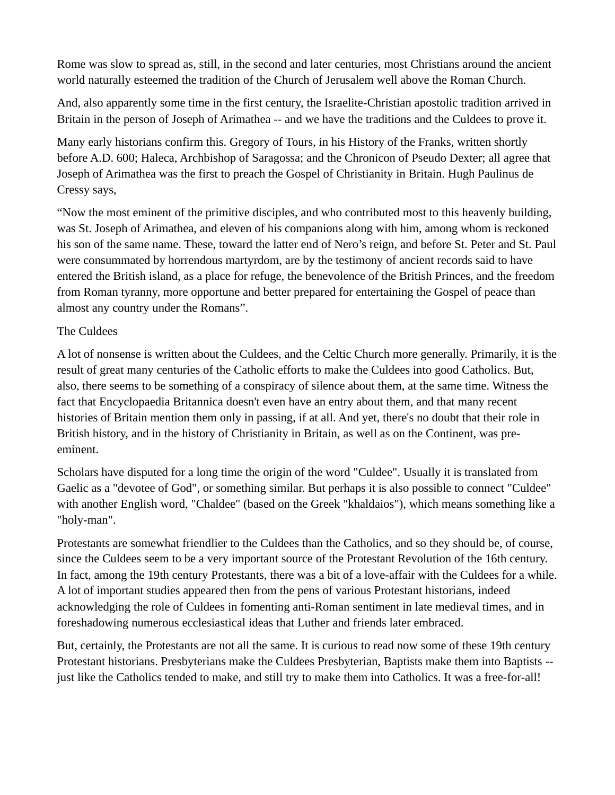Rome was slow to spread as, still, in the second and later centuries, most Christians around the ancient world naturally esteemed the tradition of the Church of Jerusalem well above the Roman Church.

And, also apparently some time in the first century, the Israelite-Christian apostolic tradition arrived in Britain in the person of Joseph of Arimathea -- and we have the traditions and the Culdees to prove it.

Many early historians confirm this. Gregory of Tours, in his History of the Franks, written shortly before A.D. 600; Haleca, Archbishop of Saragossa; and the Chronicon of Pseudo Dexter; all agree that Joseph of Arimathea was the first to preach the Gospel of Christianity in Britain. Hugh Paulinus de Cressy says,

"Now the most eminent of the primitive disciples, and who contributed most to this heavenly building, was St. Joseph of Arimathea, and eleven of his companions along with him, among whom is reckoned his son of the same name. These, toward the latter end of Nero's reign, and before St. Peter and St. Paul were consummated by horrendous martyrdom, are by the testimony of ancient records said to have entered the British island, as a place for refuge, the benevolence of the British Princes, and the freedom from Roman tyranny, more opportune and better prepared for entertaining the Gospel of peace than almost any country under the Romans".

#### The Culdees

A lot of nonsense is written about the Culdees, and the Celtic Church more generally. Primarily, it is the result of great many centuries of the Catholic efforts to make the Culdees into good Catholics. But, also, there seems to be something of a conspiracy of silence about them, at the same time. Witness the fact that Encyclopaedia Britannica doesn't even have an entry about them, and that many recent histories of Britain mention them only in passing, if at all. And yet, there's no doubt that their role in British history, and in the history of Christianity in Britain, as well as on the Continent, was preeminent.

Scholars have disputed for a long time the origin of the word "Culdee". Usually it is translated from Gaelic as a "devotee of God", or something similar. But perhaps it is also possible to connect "Culdee" with another English word, "Chaldee" (based on the Greek "khaldaios"), which means something like a "holy-man".

Protestants are somewhat friendlier to the Culdees than the Catholics, and so they should be, of course, since the Culdees seem to be a very important source of the Protestant Revolution of the 16th century. In fact, among the 19th century Protestants, there was a bit of a love-affair with the Culdees for a while. A lot of important studies appeared then from the pens of various Protestant historians, indeed acknowledging the role of Culdees in fomenting anti-Roman sentiment in late medieval times, and in foreshadowing numerous ecclesiastical ideas that Luther and friends later embraced.

But, certainly, the Protestants are not all the same. It is curious to read now some of these 19th century Protestant historians. Presbyterians make the Culdees Presbyterian, Baptists make them into Baptists - just like the Catholics tended to make, and still try to make them into Catholics. It was a free-for-all!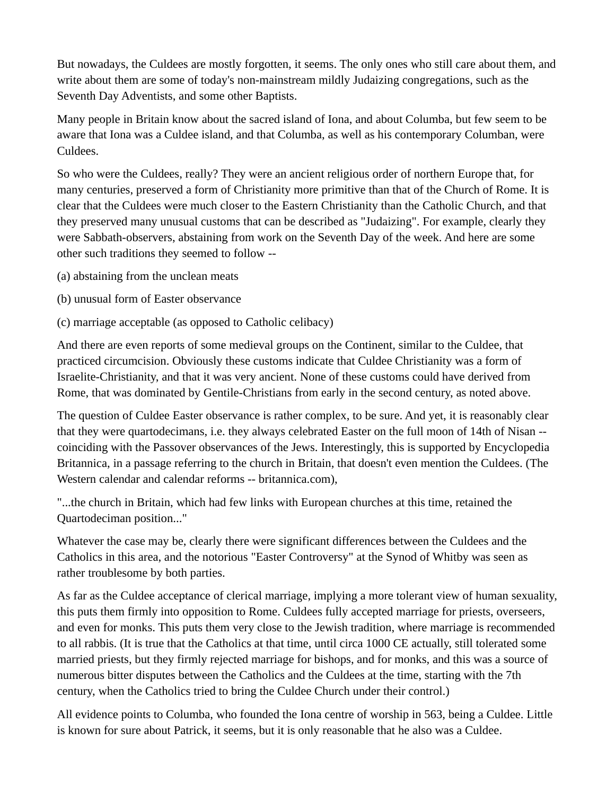But nowadays, the Culdees are mostly forgotten, it seems. The only ones who still care about them, and write about them are some of today's non-mainstream mildly Judaizing congregations, such as the Seventh Day Adventists, and some other Baptists.

Many people in Britain know about the sacred island of Iona, and about Columba, but few seem to be aware that Iona was a Culdee island, and that Columba, as well as his contemporary Columban, were Culdees.

So who were the Culdees, really? They were an ancient religious order of northern Europe that, for many centuries, preserved a form of Christianity more primitive than that of the Church of Rome. It is clear that the Culdees were much closer to the Eastern Christianity than the Catholic Church, and that they preserved many unusual customs that can be described as "Judaizing". For example, clearly they were Sabbath-observers, abstaining from work on the Seventh Day of the week. And here are some other such traditions they seemed to follow --

- (a) abstaining from the unclean meats
- (b) unusual form of Easter observance
- (c) marriage acceptable (as opposed to Catholic celibacy)

And there are even reports of some medieval groups on the Continent, similar to the Culdee, that practiced circumcision. Obviously these customs indicate that Culdee Christianity was a form of Israelite-Christianity, and that it was very ancient. None of these customs could have derived from Rome, that was dominated by Gentile-Christians from early in the second century, as noted above.

The question of Culdee Easter observance is rather complex, to be sure. And yet, it is reasonably clear that they were quartodecimans, i.e. they always celebrated Easter on the full moon of 14th of Nisan - coinciding with the Passover observances of the Jews. Interestingly, this is supported by Encyclopedia Britannica, in a passage referring to the church in Britain, that doesn't even mention the Culdees. (The Western calendar and calendar reforms -- britannica.com),

"...the church in Britain, which had few links with European churches at this time, retained the Quartodeciman position..."

Whatever the case may be, clearly there were significant differences between the Culdees and the Catholics in this area, and the notorious "Easter Controversy" at the Synod of Whitby was seen as rather troublesome by both parties.

As far as the Culdee acceptance of clerical marriage, implying a more tolerant view of human sexuality, this puts them firmly into opposition to Rome. Culdees fully accepted marriage for priests, overseers, and even for monks. This puts them very close to the Jewish tradition, where marriage is recommended to all rabbis. (It is true that the Catholics at that time, until circa 1000 CE actually, still tolerated some married priests, but they firmly rejected marriage for bishops, and for monks, and this was a source of numerous bitter disputes between the Catholics and the Culdees at the time, starting with the 7th century, when the Catholics tried to bring the Culdee Church under their control.)

All evidence points to Columba, who founded the Iona centre of worship in 563, being a Culdee. Little is known for sure about Patrick, it seems, but it is only reasonable that he also was a Culdee.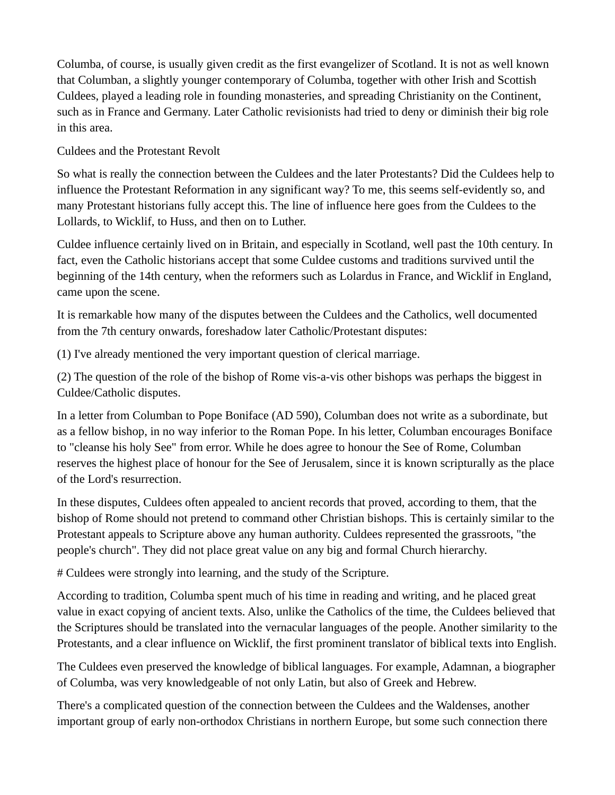Columba, of course, is usually given credit as the first evangelizer of Scotland. It is not as well known that Columban, a slightly younger contemporary of Columba, together with other Irish and Scottish Culdees, played a leading role in founding monasteries, and spreading Christianity on the Continent, such as in France and Germany. Later Catholic revisionists had tried to deny or diminish their big role in this area.

Culdees and the Protestant Revolt

So what is really the connection between the Culdees and the later Protestants? Did the Culdees help to influence the Protestant Reformation in any significant way? To me, this seems self-evidently so, and many Protestant historians fully accept this. The line of influence here goes from the Culdees to the Lollards, to Wicklif, to Huss, and then on to Luther.

Culdee influence certainly lived on in Britain, and especially in Scotland, well past the 10th century. In fact, even the Catholic historians accept that some Culdee customs and traditions survived until the beginning of the 14th century, when the reformers such as Lolardus in France, and Wicklif in England, came upon the scene.

It is remarkable how many of the disputes between the Culdees and the Catholics, well documented from the 7th century onwards, foreshadow later Catholic/Protestant disputes:

(1) I've already mentioned the very important question of clerical marriage.

(2) The question of the role of the bishop of Rome vis-a-vis other bishops was perhaps the biggest in Culdee/Catholic disputes.

In a letter from Columban to Pope Boniface (AD 590), Columban does not write as a subordinate, but as a fellow bishop, in no way inferior to the Roman Pope. In his letter, Columban encourages Boniface to "cleanse his holy See" from error. While he does agree to honour the See of Rome, Columban reserves the highest place of honour for the See of Jerusalem, since it is known scripturally as the place of the Lord's resurrection.

In these disputes, Culdees often appealed to ancient records that proved, according to them, that the bishop of Rome should not pretend to command other Christian bishops. This is certainly similar to the Protestant appeals to Scripture above any human authority. Culdees represented the grassroots, "the people's church". They did not place great value on any big and formal Church hierarchy.

# Culdees were strongly into learning, and the study of the Scripture.

According to tradition, Columba spent much of his time in reading and writing, and he placed great value in exact copying of ancient texts. Also, unlike the Catholics of the time, the Culdees believed that the Scriptures should be translated into the vernacular languages of the people. Another similarity to the Protestants, and a clear influence on Wicklif, the first prominent translator of biblical texts into English.

The Culdees even preserved the knowledge of biblical languages. For example, Adamnan, a biographer of Columba, was very knowledgeable of not only Latin, but also of Greek and Hebrew.

There's a complicated question of the connection between the Culdees and the Waldenses, another important group of early non-orthodox Christians in northern Europe, but some such connection there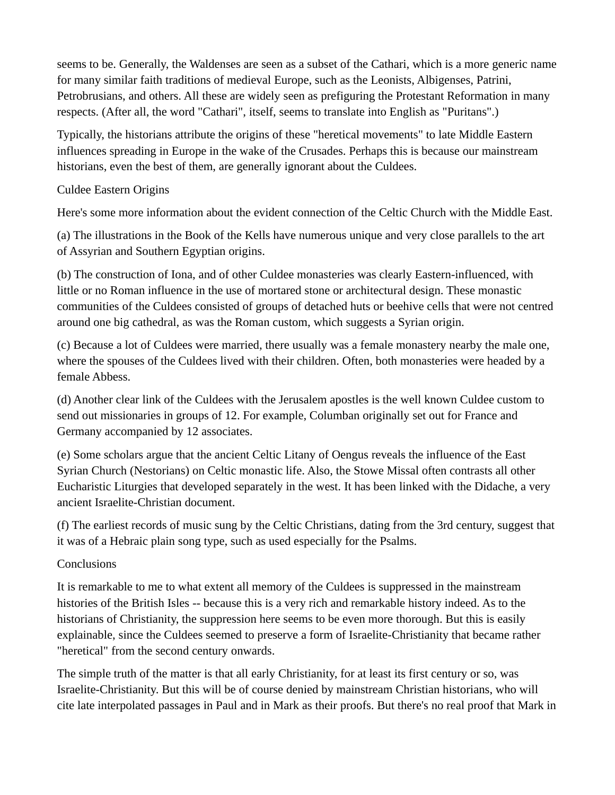seems to be. Generally, the Waldenses are seen as a subset of the Cathari, which is a more generic name for many similar faith traditions of medieval Europe, such as the Leonists, Albigenses, Patrini, Petrobrusians, and others. All these are widely seen as prefiguring the Protestant Reformation in many respects. (After all, the word "Cathari", itself, seems to translate into English as "Puritans".)

Typically, the historians attribute the origins of these "heretical movements" to late Middle Eastern influences spreading in Europe in the wake of the Crusades. Perhaps this is because our mainstream historians, even the best of them, are generally ignorant about the Culdees.

#### Culdee Eastern Origins

Here's some more information about the evident connection of the Celtic Church with the Middle East.

(a) The illustrations in the Book of the Kells have numerous unique and very close parallels to the art of Assyrian and Southern Egyptian origins.

(b) The construction of Iona, and of other Culdee monasteries was clearly Eastern-influenced, with little or no Roman influence in the use of mortared stone or architectural design. These monastic communities of the Culdees consisted of groups of detached huts or beehive cells that were not centred around one big cathedral, as was the Roman custom, which suggests a Syrian origin.

(c) Because a lot of Culdees were married, there usually was a female monastery nearby the male one, where the spouses of the Culdees lived with their children. Often, both monasteries were headed by a female Abbess.

(d) Another clear link of the Culdees with the Jerusalem apostles is the well known Culdee custom to send out missionaries in groups of 12. For example, Columban originally set out for France and Germany accompanied by 12 associates.

(e) Some scholars argue that the ancient Celtic Litany of Oengus reveals the influence of the East Syrian Church (Nestorians) on Celtic monastic life. Also, the Stowe Missal often contrasts all other Eucharistic Liturgies that developed separately in the west. It has been linked with the Didache, a very ancient Israelite-Christian document.

(f) The earliest records of music sung by the Celtic Christians, dating from the 3rd century, suggest that it was of a Hebraic plain song type, such as used especially for the Psalms.

### **Conclusions**

It is remarkable to me to what extent all memory of the Culdees is suppressed in the mainstream histories of the British Isles -- because this is a very rich and remarkable history indeed. As to the historians of Christianity, the suppression here seems to be even more thorough. But this is easily explainable, since the Culdees seemed to preserve a form of Israelite-Christianity that became rather "heretical" from the second century onwards.

The simple truth of the matter is that all early Christianity, for at least its first century or so, was Israelite-Christianity. But this will be of course denied by mainstream Christian historians, who will cite late interpolated passages in Paul and in Mark as their proofs. But there's no real proof that Mark in